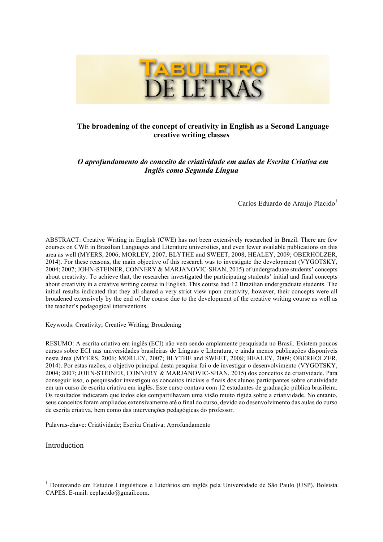

# **The broadening of the concept of creativity in English as a Second Language creative writing classes**

*O aprofundamento do conceito de criatividade em aulas de Escrita Criativa em Inglês como Segunda Língua*

Carlos Eduardo de Araujo Placido<sup>1</sup>

ABSTRACT: Creative Writing in English (CWE) has not been extensively researched in Brazil. There are few courses on CWE in Brazilian Languages and Literature universities, and even fewer available publications on this area as well (MYERS, 2006; MORLEY, 2007; BLYTHE and SWEET, 2008; HEALEY, 2009; OBERHOLZER, 2014). For these reasons, the main objective of this research was to investigate the development (VYGOTSKY, 2004; 2007; JOHN-STEINER, CONNERY & MARJANOVIC-SHAN, 2015) of undergraduate students' concepts about creativity. To achieve that, the researcher investigated the participating students' initial and final concepts about creativity in a creative writing course in English. This course had 12 Brazilian undergraduate students. The initial results indicated that they all shared a very strict view upon creativity, however, their concepts were all broadened extensively by the end of the course due to the development of the creative writing course as well as the teacher's pedagogical interventions.

Keywords: Creativity; Creative Writing; Broadening

RESUMO: A escrita criativa em inglês (ECI) não vem sendo amplamente pesquisada no Brasil. Existem poucos cursos sobre ECI nas universidades brasileiras de Línguas e Literatura, e ainda menos publicações disponíveis nesta área (MYERS, 2006; MORLEY, 2007; BLYTHE and SWEET, 2008; HEALEY, 2009; OBERHOLZER, 2014). Por estas razões, o objetivo principal desta pesquisa foi o de investigar o desenvolvimento (VYGOTSKY, 2004; 2007; JOHN-STEINER, CONNERY & MARJANOVIC-SHAN, 2015) dos conceitos de criatividade. Para conseguir isso, o pesquisador investigou os conceitos iniciais e finais dos alunos participantes sobre criatividade em um curso de escrita criativa em inglês. Este curso contava com 12 estudantes de graduação pública brasileira. Os resultados indicaram que todos eles compartilhavam uma visão muito rígida sobre a criatividade. No entanto, seus conceitos foram ampliados extensivamente até o final do curso, devido ao desenvolvimento das aulas do curso de escrita criativa, bem como das intervenções pedagógicas do professor.

Palavras-chave: Criatividade; Escrita Criativa; Aprofundamento

Introduction

 <sup>1</sup> Doutorando em Estudos Linguísticos e Literários em inglês pela Universidade de São Paulo (USP). Bolsista CAPES. E-mail: ceplacido@gmail.com.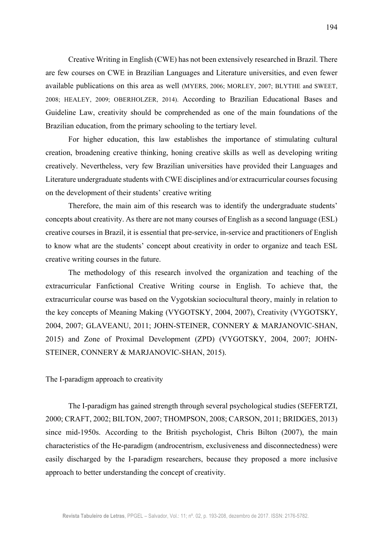Creative Writing in English (CWE) has not been extensively researched in Brazil. There are few courses on CWE in Brazilian Languages and Literature universities, and even fewer available publications on this area as well (MYERS, 2006; MORLEY, 2007; BLYTHE and SWEET, 2008; HEALEY, 2009; OBERHOLZER, 2014). According to Brazilian Educational Bases and Guideline Law, creativity should be comprehended as one of the main foundations of the Brazilian education, from the primary schooling to the tertiary level.

For higher education, this law establishes the importance of stimulating cultural creation, broadening creative thinking, honing creative skills as well as developing writing creatively. Nevertheless, very few Brazilian universities have provided their Languages and Literature undergraduate students with CWE disciplines and/or extracurricular courses focusing on the development of their students' creative writing

Therefore, the main aim of this research was to identify the undergraduate students' concepts about creativity. As there are not many courses of English as a second language (ESL) creative courses in Brazil, it is essential that pre-service, in-service and practitioners of English to know what are the students' concept about creativity in order to organize and teach ESL creative writing courses in the future.

The methodology of this research involved the organization and teaching of the extracurricular Fanfictional Creative Writing course in English. To achieve that, the extracurricular course was based on the Vygotskian sociocultural theory, mainly in relation to the key concepts of Meaning Making (VYGOTSKY, 2004, 2007), Creativity (VYGOTSKY, 2004, 2007; GLAVEANU, 2011; JOHN-STEINER, CONNERY & MARJANOVIC-SHAN, 2015) and Zone of Proximal Development (ZPD) (VYGOTSKY, 2004, 2007; JOHN-STEINER, CONNERY & MARJANOVIC-SHAN, 2015).

### The I-paradigm approach to creativity

The I-paradigm has gained strength through several psychological studies (SEFERTZI, 2000; CRAFT, 2002; BILTON, 2007; THOMPSON, 2008; CARSON, 2011; BRIDGES, 2013) since mid-1950s. According to the British psychologist, Chris Bilton (2007), the main characteristics of the He-paradigm (androcentrism, exclusiveness and disconnectedness) were easily discharged by the I-paradigm researchers, because they proposed a more inclusive approach to better understanding the concept of creativity.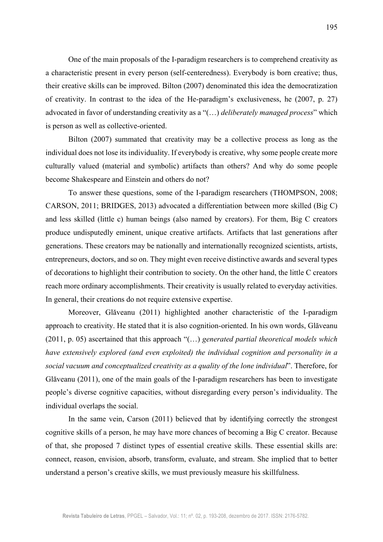One of the main proposals of the I-paradigm researchers is to comprehend creativity as a characteristic present in every person (self-centeredness). Everybody is born creative; thus, their creative skills can be improved. Bilton (2007) denominated this idea the democratization of creativity. In contrast to the idea of the He-paradigm's exclusiveness, he (2007, p. 27) advocated in favor of understanding creativity as a "(…) *deliberately managed process*" which is person as well as collective-oriented.

Bilton (2007) summated that creativity may be a collective process as long as the individual does not lose its individuality. If everybody is creative, why some people create more culturally valued (material and symbolic) artifacts than others? And why do some people become Shakespeare and Einstein and others do not?

To answer these questions, some of the I-paradigm researchers (THOMPSON, 2008; CARSON, 2011; BRIDGES, 2013) advocated a differentiation between more skilled (Big C) and less skilled (little c) human beings (also named by creators). For them, Big C creators produce undisputedly eminent, unique creative artifacts. Artifacts that last generations after generations. These creators may be nationally and internationally recognized scientists, artists, entrepreneurs, doctors, and so on. They might even receive distinctive awards and several types of decorations to highlight their contribution to society. On the other hand, the little C creators reach more ordinary accomplishments. Their creativity is usually related to everyday activities. In general, their creations do not require extensive expertise.

Moreover, Glăveanu (2011) highlighted another characteristic of the I-paradigm approach to creativity. He stated that it is also cognition-oriented. In his own words, Glăveanu (2011, p. 05) ascertained that this approach "(…) *generated partial theoretical models which have extensively explored (and even exploited) the individual cognition and personality in a social vacuum and conceptualized creativity as a quality of the lone individual*". Therefore, for Glăveanu (2011), one of the main goals of the I-paradigm researchers has been to investigate people's diverse cognitive capacities, without disregarding every person's individuality. The individual overlaps the social.

In the same vein, Carson (2011) believed that by identifying correctly the strongest cognitive skills of a person, he may have more chances of becoming a Big C creator. Because of that, she proposed 7 distinct types of essential creative skills. These essential skills are: connect, reason, envision, absorb, transform, evaluate, and stream. She implied that to better understand a person's creative skills, we must previously measure his skillfulness.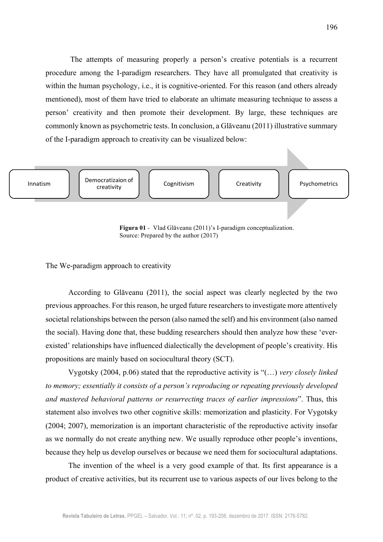The attempts of measuring properly a person's creative potentials is a recurrent procedure among the I-paradigm researchers. They have all promulgated that creativity is within the human psychology, i.e., it is cognitive-oriented. For this reason (and others already mentioned), most of them have tried to elaborate an ultimate measuring technique to assess a person' creativity and then promote their development. By large, these techniques are commonly known as psychometric tests. In conclusion, a Glăveanu (2011) illustrative summary of the I-paradigm approach to creativity can be visualized below:



 **Figura 01** - Vlad Glăveanu (2011)'s I-paradigm conceptualization. Source: Prepared by the author (2017)

The We-paradigm approach to creativity

According to Glăveanu (2011), the social aspect was clearly neglected by the two previous approaches. For this reason, he urged future researchers to investigate more attentively societal relationships between the person (also named the self) and his environment (also named the social). Having done that, these budding researchers should then analyze how these 'everexisted' relationships have influenced dialectically the development of people's creativity. His propositions are mainly based on sociocultural theory (SCT).

Vygotsky (2004, p.06) stated that the reproductive activity is "(…) *very closely linked to memory; essentially it consists of a person's reproducing or repeating previously developed and mastered behavioral patterns or resurrecting traces of earlier impressions*". Thus, this statement also involves two other cognitive skills: memorization and plasticity. For Vygotsky (2004; 2007), memorization is an important characteristic of the reproductive activity insofar as we normally do not create anything new. We usually reproduce other people's inventions, because they help us develop ourselves or because we need them for sociocultural adaptations.

The invention of the wheel is a very good example of that. Its first appearance is a product of creative activities, but its recurrent use to various aspects of our lives belong to the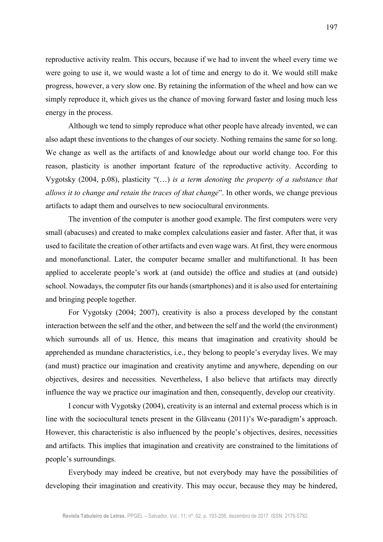reproductive activity realm. This occurs, because if we had to invent the wheel every time we were going to use it, we would waste a lot of time and energy to do it. We would still make progress, however, a very slow one. By retaining the information of the wheel and how can we simply reproduce it, which gives us the chance of moving forward faster and losing much less energy in the process.

Although we tend to simply reproduce what other people have already invented, we can also adapt these inventions to the changes of our society. Nothing remains the same for so long. We change as well as the artifacts of and knowledge about our world change too. For this reason, plasticity is another important feature of the reproductive activity. According to Vygotsky (2004, p.08), plasticity "(…) *is a term denoting the property of a substance that allows it to change and retain the traces of that change*". In other words, we change previous artifacts to adapt them and ourselves to new sociocultural environments.

The invention of the computer is another good example. The first computers were very small (abacuses) and created to make complex calculations easier and faster. After that, it was used to facilitate the creation of other artifacts and even wage wars. At first, they were enormous and monofunctional. Later, the computer became smaller and multifunctional. It has been applied to accelerate people's work at (and outside) the office and studies at (and outside) school. Nowadays, the computer fits our hands (smartphones) and it is also used for entertaining and bringing people together.

For Vygotsky (2004; 2007), creativity is also a process developed by the constant interaction between the self and the other, and between the self and the world (the environment) which surrounds all of us. Hence, this means that imagination and creativity should be apprehended as mundane characteristics, i.e., they belong to people's everyday lives. We may (and must) practice our imagination and creativity anytime and anywhere, depending on our objectives, desires and necessities. Nevertheless, I also believe that artifacts may directly influence the way we practice our imagination and then, consequently, develop our creativity.

I concur with Vygotsky (2004), creativity is an internal and external process which is in line with the sociocultural tenets present in the Glăveanu (2011)'s We-paradigm's approach. However, this characteristic is also influenced by the people's objectives, desires, necessities and artifacts. This implies that imagination and creativity are constrained to the limitations of people's surroundings.

Everybody may indeed be creative, but not everybody may have the possibilities of developing their imagination and creativity. This may occur, because they may be hindered,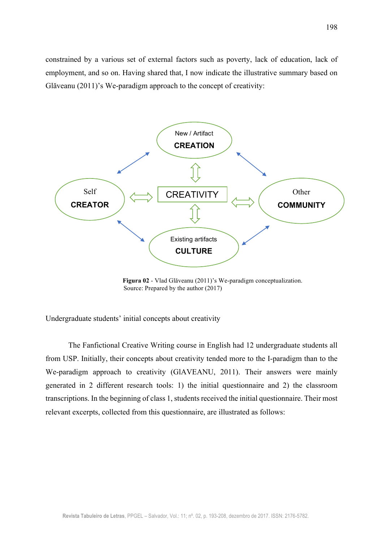constrained by a various set of external factors such as poverty, lack of education, lack of employment, and so on. Having shared that, I now indicate the illustrative summary based on Glăveanu (2011)'s We-paradigm approach to the concept of creativity:



 **Figura 02** - Vlad Glăveanu (2011)'s We-paradigm conceptualization. Source: Prepared by the author (2017)

Undergraduate students' initial concepts about creativity

The Fanfictional Creative Writing course in English had 12 undergraduate students all from USP. Initially, their concepts about creativity tended more to the I-paradigm than to the We-paradigm approach to creativity (GlAVEANU, 2011). Their answers were mainly generated in 2 different research tools: 1) the initial questionnaire and 2) the classroom transcriptions. In the beginning of class 1, students received the initial questionnaire. Their most relevant excerpts, collected from this questionnaire, are illustrated as follows: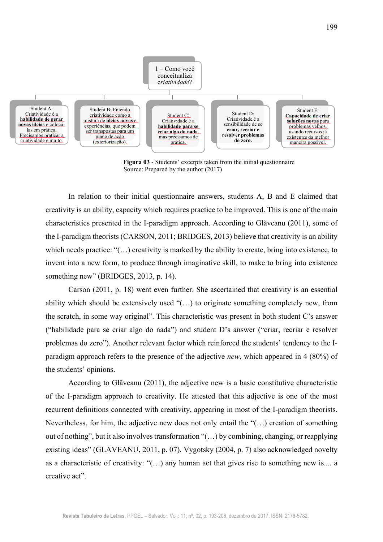

 **Figura 03** - Students' excerpts taken from the initial questionnaire Source: Prepared by the author (2017)

In relation to their initial questionnaire answers, students A, B and E claimed that creativity is an ability, capacity which requires practice to be improved. This is one of the main characteristics presented in the I-paradigm approach. According to Glăveanu (2011), some of the I-paradigm theorists (CARSON, 2011; BRIDGES, 2013) believe that creativity is an ability which needs practice: "(…) creativity is marked by the ability to create, bring into existence, to invent into a new form, to produce through imaginative skill, to make to bring into existence something new" (BRIDGES, 2013, p. 14).

Carson (2011, p. 18) went even further. She ascertained that creativity is an essential ability which should be extensively used "(…) to originate something completely new, from the scratch, in some way original". This characteristic was present in both student C's answer ("habilidade para se criar algo do nada") and student D's answer ("criar, recriar e resolver problemas do zero"). Another relevant factor which reinforced the students' tendency to the Iparadigm approach refers to the presence of the adjective *new*, which appeared in 4 (80%) of the students' opinions.

According to Glăveanu (2011), the adjective new is a basic constitutive characteristic of the I-paradigm approach to creativity. He attested that this adjective is one of the most recurrent definitions connected with creativity, appearing in most of the I-paradigm theorists. Nevertheless, for him, the adjective new does not only entail the "(…) creation of something out of nothing", but it also involves transformation "(…) by combining, changing, or reapplying existing ideas" (GLAVEANU, 2011, p. 07). Vygotsky (2004, p. 7) also acknowledged novelty as a characteristic of creativity: "(…) any human act that gives rise to something new is.... a creative act".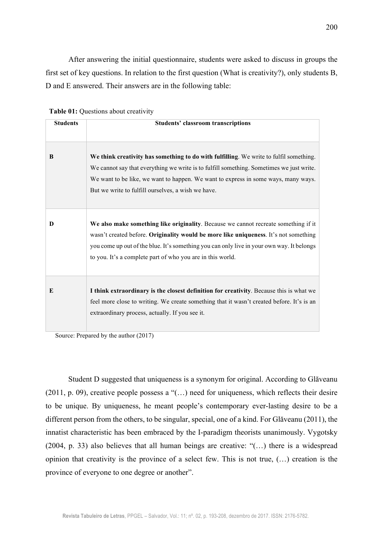After answering the initial questionnaire, students were asked to discuss in groups the first set of key questions. In relation to the first question (What is creativity?), only students B, D and E answered. Their answers are in the following table:

| <b>Students</b> | <b>Students' classroom transcriptions</b>                                                                                                                                                                                                                                                                                              |
|-----------------|----------------------------------------------------------------------------------------------------------------------------------------------------------------------------------------------------------------------------------------------------------------------------------------------------------------------------------------|
| B               | We think creativity has something to do with fulfilling. We write to fulfil something.<br>We cannot say that everything we write is to fulfill something. Sometimes we just write.<br>We want to be like, we want to happen. We want to express in some ways, many ways.<br>But we write to fulfill ourselves, a wish we have.         |
| D               | We also make something like originality. Because we cannot recreate something if it<br>wasn't created before. Originality would be more like uniqueness. It's not something<br>you come up out of the blue. It's something you can only live in your own way. It belongs<br>to you. It's a complete part of who you are in this world. |
| E               | I think extraordinary is the closest definition for creativity. Because this is what we<br>feel more close to writing. We create something that it wasn't created before. It's is an<br>extraordinary process, actually. If you see it.                                                                                                |

 **Table 01:** Questions about creativity

Source: Prepared by the author (2017)

Student D suggested that uniqueness is a synonym for original. According to Glăveanu (2011, p. 09), creative people possess a "(…) need for uniqueness, which reflects their desire to be unique. By uniqueness, he meant people's contemporary ever-lasting desire to be a different person from the others, to be singular, special, one of a kind. For Glăveanu (2011), the innatist characteristic has been embraced by the I-paradigm theorists unanimously. Vygotsky (2004, p. 33) also believes that all human beings are creative: "(…) there is a widespread opinion that creativity is the province of a select few. This is not true, (…) creation is the province of everyone to one degree or another".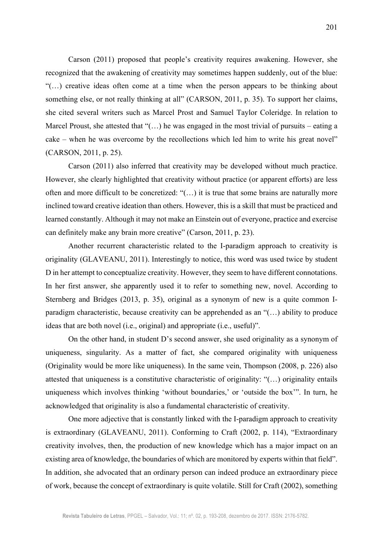Carson (2011) proposed that people's creativity requires awakening. However, she recognized that the awakening of creativity may sometimes happen suddenly, out of the blue: "(…) creative ideas often come at a time when the person appears to be thinking about something else, or not really thinking at all" (CARSON, 2011, p. 35). To support her claims, she cited several writers such as Marcel Prost and Samuel Taylor Coleridge. In relation to Marcel Proust, she attested that " $(...)$  he was engaged in the most trivial of pursuits – eating a cake – when he was overcome by the recollections which led him to write his great novel" (CARSON, 2011, p. 25).

Carson (2011) also inferred that creativity may be developed without much practice. However, she clearly highlighted that creativity without practice (or apparent efforts) are less often and more difficult to be concretized: "(…) it is true that some brains are naturally more inclined toward creative ideation than others. However, this is a skill that must be practiced and learned constantly. Although it may not make an Einstein out of everyone, practice and exercise can definitely make any brain more creative" (Carson, 2011, p. 23).

Another recurrent characteristic related to the I-paradigm approach to creativity is originality (GLAVEANU, 2011). Interestingly to notice, this word was used twice by student D in her attempt to conceptualize creativity. However, they seem to have different connotations. In her first answer, she apparently used it to refer to something new, novel. According to Sternberg and Bridges (2013, p. 35), original as a synonym of new is a quite common Iparadigm characteristic, because creativity can be apprehended as an "(…) ability to produce ideas that are both novel (i.e., original) and appropriate (i.e., useful)".

On the other hand, in student D's second answer, she used originality as a synonym of uniqueness, singularity. As a matter of fact, she compared originality with uniqueness (Originality would be more like uniqueness). In the same vein, Thompson (2008, p. 226) also attested that uniqueness is a constitutive characteristic of originality: "(…) originality entails uniqueness which involves thinking 'without boundaries,' or 'outside the box'". In turn, he acknowledged that originality is also a fundamental characteristic of creativity.

One more adjective that is constantly linked with the I-paradigm approach to creativity is extraordinary (GLAVEANU, 2011). Conforming to Craft (2002, p. 114), "Extraordinary creativity involves, then, the production of new knowledge which has a major impact on an existing area of knowledge, the boundaries of which are monitored by experts within that field". In addition, she advocated that an ordinary person can indeed produce an extraordinary piece of work, because the concept of extraordinary is quite volatile. Still for Craft (2002), something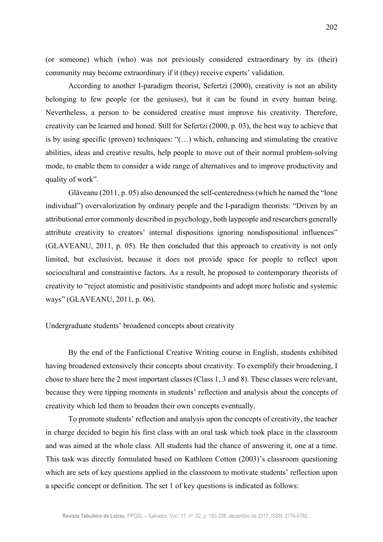(or someone) which (who) was not previously considered extraordinary by its (their) community may become extraordinary if it (they) receive experts' validation.

According to another I-paradigm theorist, Sefertzi (2000), creativity is not an ability belonging to few people (or the geniuses), but it can be found in every human being. Nevertheless, a person to be considered creative must improve his creativity. Therefore, creativity can be learned and honed. Still for Sefertzi (2000, p. 03), the best way to achieve that is by using specific (proven) techniques: "(…) which, enhancing and stimulating the creative abilities, ideas and creative results, help people to move out of their normal problem-solving mode, to enable them to consider a wide range of alternatives and to improve productivity and quality of work".

Glăveanu (2011, p. 05) also denounced the self-centeredness (which he named the "lone individual") overvalorization by ordinary people and the I-paradigm theorists: "Driven by an attributional error commonly described in psychology, both laypeople and researchers generally attribute creativity to creators' internal dispositions ignoring nondispositional influences" (GLAVEANU, 2011, p. 05). He then concluded that this approach to creativity is not only limited, but exclusivist, because it does not provide space for people to reflect upon sociocultural and constraintive factors. As a result, he proposed to contemporary theorists of creativity to "reject atomistic and positivistic standpoints and adopt more holistic and systemic ways" (GLAVEANU, 2011, p. 06).

#### Undergraduate students' broadened concepts about creativity

By the end of the Fanfictional Creative Writing course in English, students exhibited having broadened extensively their concepts about creativity. To exemplify their broadening, I chose to share here the 2 most important classes (Class 1, 3 and 8). These classes were relevant, because they were tipping moments in students' reflection and analysis about the concepts of creativity which led them to broaden their own concepts eventually.

To promote students' reflection and analysis upon the concepts of creativity, the teacher in charge decided to begin his first class with an oral task which took place in the classroom and was aimed at the whole class. All students had the chance of answering it, one at a time. This task was directly formulated based on Kathleen Cotton (2003)'s classroom questioning which are sets of key questions applied in the classroom to motivate students' reflection upon a specific concept or definition. The set 1 of key questions is indicated as follows: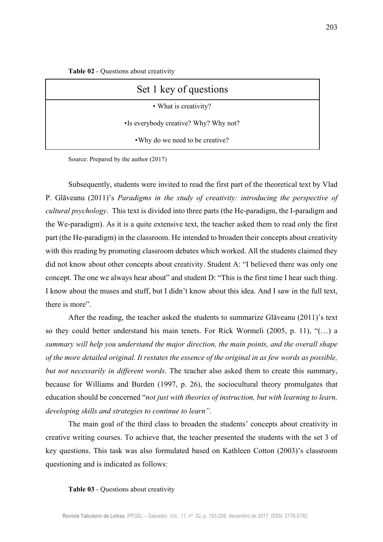**Table 02** - Questions about creativity

| Set 1 key of questions                |
|---------------------------------------|
| • What is creativity?                 |
| •Is everybody creative? Why? Why not? |
| • Why do we need to be creative?      |

Source: Prepared by the author (2017)

Subsequently, students were invited to read the first part of the theoretical text by Vlad P. Glăveanu (2011)'s *Paradigms in the study of creativity: introducing the perspective of cultural psychology*. This text is divided into three parts (the He-paradigm, the I-paradigm and the We-paradigm). As it is a quite extensive text, the teacher asked them to read only the first part (the He-paradigm) in the classroom. He intended to broaden their concepts about creativity with this reading by promoting classroom debates which worked. All the students claimed they did not know about other concepts about creativity. Student A: "I believed there was only one concept. The one we always hear about" and student D: "This is the first time I hear such thing. I know about the muses and stuff, but I didn't know about this idea. And I saw in the full text, there is more".

After the reading, the teacher asked the students to summarize Glăveanu (2011)'s text so they could better understand his main tenets. For Rick Wormeli (2005, p. 11), "(…) a *summary will help you understand the major direction, the main points, and the overall shape of the more detailed original. It restates the essence of the original in as few words as possible, but not necessarily in different words*. The teacher also asked them to create this summary, because for Williams and Burden (1997, p. 26), the sociocultural theory promulgates that education should be concerned "*not just with theories of instruction, but with learning to learn, developing skills and strategies to continue to learn".*

The main goal of the third class to broaden the students' concepts about creativity in creative writing courses. To achieve that, the teacher presented the students with the set 3 of key questions. This task was also formulated based on Kathleen Cotton (2003)'s classroom questioning and is indicated as follows:

#### **Table 03** - Questions about creativity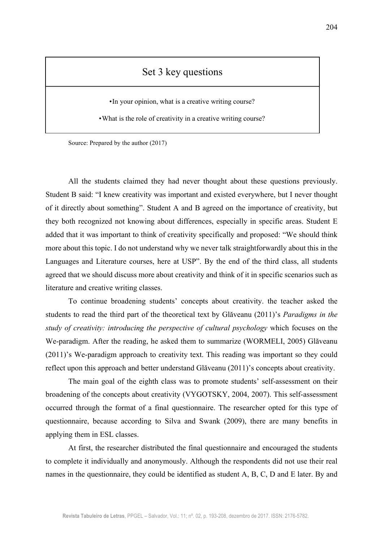# Set 3 key questions

•In your opinion, what is a creative writing course?

•What is the role of creativity in a creative writing course?

Source: Prepared by the author (2017)

All the students claimed they had never thought about these questions previously. Student B said: "I knew creativity was important and existed everywhere, but I never thought of it directly about something". Student A and B agreed on the importance of creativity, but they both recognized not knowing about differences, especially in specific areas. Student E added that it was important to think of creativity specifically and proposed: "We should think more about this topic. I do not understand why we never talk straightforwardly about this in the Languages and Literature courses, here at USP". By the end of the third class, all students agreed that we should discuss more about creativity and think of it in specific scenarios such as literature and creative writing classes.

To continue broadening students' concepts about creativity. the teacher asked the students to read the third part of the theoretical text by Glăveanu (2011)'s *Paradigms in the study of creativity: introducing the perspective of cultural psychology* which focuses on the We-paradigm. After the reading, he asked them to summarize (WORMELI, 2005) Glăveanu (2011)'s We-paradigm approach to creativity text. This reading was important so they could reflect upon this approach and better understand Glăveanu (2011)'s concepts about creativity.

The main goal of the eighth class was to promote students' self-assessment on their broadening of the concepts about creativity (VYGOTSKY, 2004, 2007). This self-assessment occurred through the format of a final questionnaire. The researcher opted for this type of questionnaire, because according to Silva and Swank (2009), there are many benefits in applying them in ESL classes.

At first, the researcher distributed the final questionnaire and encouraged the students to complete it individually and anonymously. Although the respondents did not use their real names in the questionnaire, they could be identified as student A, B, C, D and E later. By and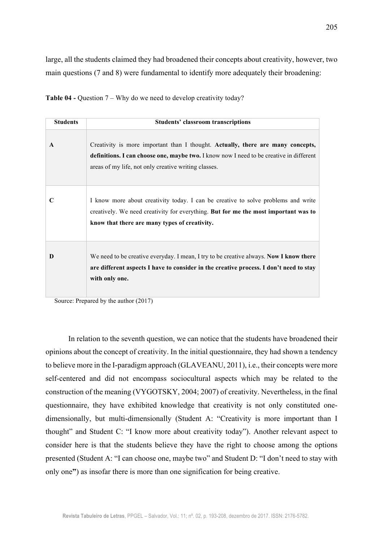large, all the students claimed they had broadened their concepts about creativity, however, two main questions (7 and 8) were fundamental to identify more adequately their broadening:

**Table 04 -** Question 7 – Why do we need to develop creativity today?

| <b>Students</b> | <b>Students' classroom transcriptions</b>                                                                                                                                                                                          |
|-----------------|------------------------------------------------------------------------------------------------------------------------------------------------------------------------------------------------------------------------------------|
| $\mathbf{A}$    | Creativity is more important than I thought. Actually, there are many concepts,<br>definitions. I can choose one, maybe two. I know now I need to be creative in different<br>areas of my life, not only creative writing classes. |
| C               | I know more about creativity today. I can be creative to solve problems and write<br>creatively. We need creativity for everything. But for me the most important was to<br>know that there are many types of creativity.          |
| D               | We need to be creative everyday. I mean, I try to be creative always. Now I know there<br>are different aspects I have to consider in the creative process. I don't need to stay<br>with only one.                                 |

Source: Prepared by the author (2017)

In relation to the seventh question, we can notice that the students have broadened their opinions about the concept of creativity. In the initial questionnaire, they had shown a tendency to believe more in the I-paradigm approach (GLAVEANU, 2011), i.e., their concepts were more self-centered and did not encompass sociocultural aspects which may be related to the construction of the meaning (VYGOTSKY, 2004; 2007) of creativity. Nevertheless, in the final questionnaire, they have exhibited knowledge that creativity is not only constituted onedimensionally, but multi-dimensionally (Student A: "Creativity is more important than I thought" and Student C: "I know more about creativity today"). Another relevant aspect to consider here is that the students believe they have the right to choose among the options presented (Student A: "I can choose one, maybe two" and Student D: "I don't need to stay with only one**"**) as insofar there is more than one signification for being creative.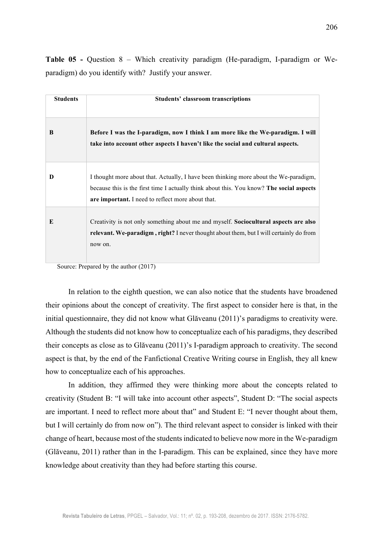**Students Students' classroom transcriptions B Before I was the I-paradigm, now I think I am more like the We-paradigm. I will take into account other aspects I haven't like the social and cultural aspects. D** I thought more about that. Actually, I have been thinking more about the We-paradigm, because this is the first time I actually think about this. You know? **The social aspects are important.** I need to reflect more about that. **E** Creativity is not only something about me and myself. **Sociocultural aspects are also relevant. We-paradigm , right?** I never thought about them, but I will certainly do from now on.

**Table 05 -** Question 8 – Which creativity paradigm (He-paradigm, I-paradigm or Weparadigm) do you identify with? Justify your answer.

Source: Prepared by the author (2017)

In relation to the eighth question, we can also notice that the students have broadened their opinions about the concept of creativity. The first aspect to consider here is that, in the initial questionnaire, they did not know what Glăveanu (2011)'s paradigms to creativity were. Although the students did not know how to conceptualize each of his paradigms, they described their concepts as close as to Glăveanu (2011)'s I-paradigm approach to creativity. The second aspect is that, by the end of the Fanfictional Creative Writing course in English, they all knew how to conceptualize each of his approaches.

In addition, they affirmed they were thinking more about the concepts related to creativity (Student B: "I will take into account other aspects", Student D: "The social aspects are important. I need to reflect more about that" and Student E: "I never thought about them, but I will certainly do from now on"). The third relevant aspect to consider is linked with their change of heart, because most of the studentsindicated to believe now more in the We-paradigm (Glăveanu, 2011) rather than in the I-paradigm. This can be explained, since they have more knowledge about creativity than they had before starting this course.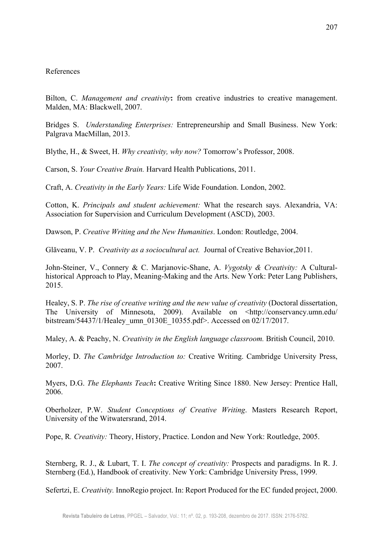## References

Bilton, C. *Management and creativity***:** from creative industries to creative management. Malden, MA: Blackwell, 2007.

Bridges S. *Understanding Enterprises:* Entrepreneurship and Small Business. New York: Palgrava MacMillan, 2013.

Blythe, H., & Sweet, H. *Why creativity, why now?* Tomorrow's Professor, 2008.

Carson, S. *Your Creative Brain.* Harvard Health Publications, 2011.

Craft, A. *Creativity in the Early Years:* Life Wide Foundation. London, 2002.

Cotton, K. *Principals and student achievement:* What the research says. Alexandria, VA: Association for Supervision and Curriculum Development (ASCD), 2003.

Dawson, P. *Creative Writing and the New Humanities*. London: Routledge, 2004.

Glăveanu, V. P. *Creativity as a sociocultural act.* Journal of Creative Behavior,2011.

John-Steiner, V., Connery & C. Marjanovic-Shane, A. *Vygotsky & Creativity:* A Culturalhistorical Approach to Play, Meaning-Making and the Arts. New York: Peter Lang Publishers, 2015.

Healey, S. P. *The rise of creative writing and the new value of creativity* (Doctoral dissertation, The University of Minnesota, 2009). Available on <http://conservancy.umn.edu/ bitstream/54437/1/Healey\_umn\_0130E\_10355.pdf>. Accessed on 02/17/2017.

Maley, A. & Peachy, N. *Creativity in the English language classroom.* British Council, 2010.

Morley, D. *The Cambridge Introduction to:* Creative Writing. Cambridge University Press, 2007.

Myers, D.G. *The Elephants Teach***:** Creative Writing Since 1880. New Jersey: Prentice Hall, 2006.

Oberholzer, P.W. *Student Conceptions of Creative Writing*. Masters Research Report, University of the Witwatersrand, 2014.

Pope, R*. Creativity:* Theory, History, Practice. London and New York: Routledge, 2005.

Sternberg, R. J., & Lubart, T. I. *The concept of creativity:* Prospects and paradigms. In R. J. Sternberg (Ed.), Handbook of creativity. New York: Cambridge University Press, 1999.

Sefertzi, E. *Creativity.* InnoRegio project. In: Report Produced for the EC funded project, 2000.